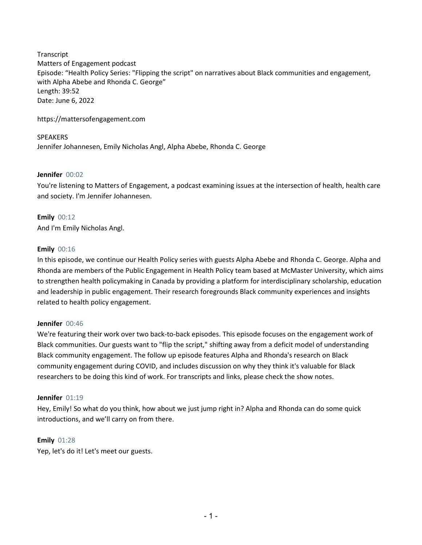**Transcript** Matters of Engagement podcast Episode: "Health Policy Series: "Flipping the script" on narratives about Black communities and engagement, with Alpha Abebe and Rhonda C. George" Length: 39:52 Date: June 6, 2022

https://mattersofengagement.com

SPEAKERS Jennifer Johannesen, Emily Nicholas Angl, Alpha Abebe, Rhonda C. George

# **Jennifer** 00:02

You're listening to Matters of Engagement, a podcast examining issues at the intersection of health, health care and society. I'm Jennifer Johannesen.

**Emily** 00:12 And I'm Emily Nicholas Angl.

# **Emily** 00:16

In this episode, we continue our Health Policy series with guests Alpha Abebe and Rhonda C. George. Alpha and Rhonda are members of the Public Engagement in Health Policy team based at McMaster University, which aims to strengthen health policymaking in Canada by providing a platform for interdisciplinary scholarship, education and leadership in public engagement. Their research foregrounds Black community experiences and insights related to health policy engagement.

## **Jennifer** 00:46

We're featuring their work over two back-to-back episodes. This episode focuses on the engagement work of Black communities. Our guests want to "flip the script," shifting away from a deficit model of understanding Black community engagement. The follow up episode features Alpha and Rhonda's research on Black community engagement during COVID, and includes discussion on why they think it's valuable for Black researchers to be doing this kind of work. For transcripts and links, please check the show notes.

## **Jennifer** 01:19

Hey, Emily! So what do you think, how about we just jump right in? Alpha and Rhonda can do some quick introductions, and we'll carry on from there.

# **Emily** 01:28

Yep, let's do it! Let's meet our guests.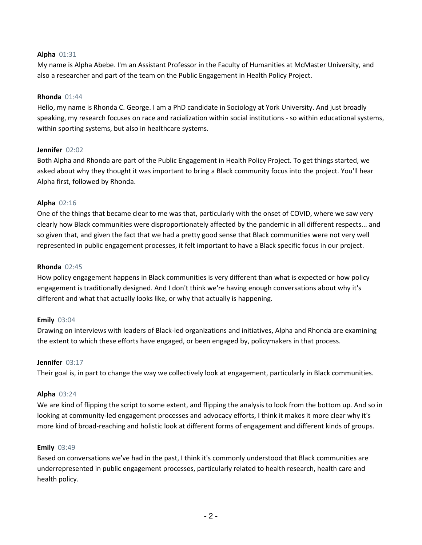## **Alpha** 01:31

My name is Alpha Abebe. I'm an Assistant Professor in the Faculty of Humanities at McMaster University, and also a researcher and part of the team on the Public Engagement in Health Policy Project.

#### **Rhonda** 01:44

Hello, my name is Rhonda C. George. I am a PhD candidate in Sociology at York University. And just broadly speaking, my research focuses on race and racialization within social institutions - so within educational systems, within sporting systems, but also in healthcare systems.

## **Jennifer** 02:02

Both Alpha and Rhonda are part of the Public Engagement in Health Policy Project. To get things started, we asked about why they thought it was important to bring a Black community focus into the project. You'll hear Alpha first, followed by Rhonda.

## **Alpha** 02:16

One of the things that became clear to me was that, particularly with the onset of COVID, where we saw very clearly how Black communities were disproportionately affected by the pandemic in all different respects... and so given that, and given the fact that we had a pretty good sense that Black communities were not very well represented in public engagement processes, it felt important to have a Black specific focus in our project.

## **Rhonda** 02:45

How policy engagement happens in Black communities is very different than what is expected or how policy engagement is traditionally designed. And I don't think we're having enough conversations about why it's different and what that actually looks like, or why that actually is happening.

## **Emily** 03:04

Drawing on interviews with leaders of Black-led organizations and initiatives, Alpha and Rhonda are examining the extent to which these efforts have engaged, or been engaged by, policymakers in that process.

## **Jennifer** 03:17

Their goal is, in part to change the way we collectively look at engagement, particularly in Black communities.

## **Alpha** 03:24

We are kind of flipping the script to some extent, and flipping the analysis to look from the bottom up. And so in looking at community-led engagement processes and advocacy efforts, I think it makes it more clear why it's more kind of broad-reaching and holistic look at different forms of engagement and different kinds of groups.

## **Emily** 03:49

Based on conversations we've had in the past, I think it's commonly understood that Black communities are underrepresented in public engagement processes, particularly related to health research, health care and health policy.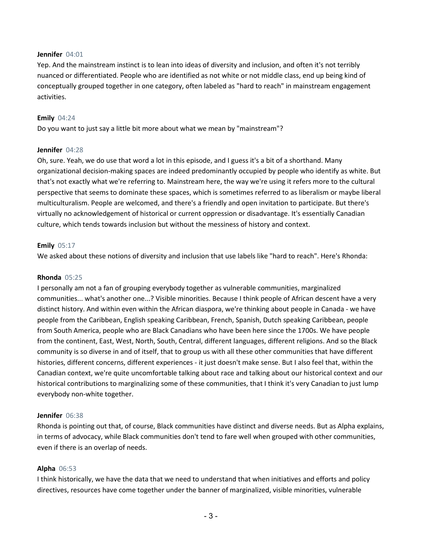#### **Jennifer** 04:01

Yep. And the mainstream instinct is to lean into ideas of diversity and inclusion, and often it's not terribly nuanced or differentiated. People who are identified as not white or not middle class, end up being kind of conceptually grouped together in one category, often labeled as "hard to reach" in mainstream engagement activities.

#### **Emily** 04:24

Do you want to just say a little bit more about what we mean by "mainstream"?

#### **Jennifer** 04:28

Oh, sure. Yeah, we do use that word a lot in this episode, and I guess it's a bit of a shorthand. Many organizational decision-making spaces are indeed predominantly occupied by people who identify as white. But that's not exactly what we're referring to. Mainstream here, the way we're using it refers more to the cultural perspective that seems to dominate these spaces, which is sometimes referred to as liberalism or maybe liberal multiculturalism. People are welcomed, and there's a friendly and open invitation to participate. But there's virtually no acknowledgement of historical or current oppression or disadvantage. It's essentially Canadian culture, which tends towards inclusion but without the messiness of history and context.

## **Emily** 05:17

We asked about these notions of diversity and inclusion that use labels like "hard to reach". Here's Rhonda:

#### **Rhonda** 05:25

I personally am not a fan of grouping everybody together as vulnerable communities, marginalized communities... what's another one...? Visible minorities. Because I think people of African descent have a very distinct history. And within even within the African diaspora, we're thinking about people in Canada - we have people from the Caribbean, English speaking Caribbean, French, Spanish, Dutch speaking Caribbean, people from South America, people who are Black Canadians who have been here since the 1700s. We have people from the continent, East, West, North, South, Central, different languages, different religions. And so the Black community is so diverse in and of itself, that to group us with all these other communities that have different histories, different concerns, different experiences - it just doesn't make sense. But I also feel that, within the Canadian context, we're quite uncomfortable talking about race and talking about our historical context and our historical contributions to marginalizing some of these communities, that I think it's very Canadian to just lump everybody non-white together.

#### **Jennifer** 06:38

Rhonda is pointing out that, of course, Black communities have distinct and diverse needs. But as Alpha explains, in terms of advocacy, while Black communities don't tend to fare well when grouped with other communities, even if there is an overlap of needs.

## **Alpha** 06:53

I think historically, we have the data that we need to understand that when initiatives and efforts and policy directives, resources have come together under the banner of marginalized, visible minorities, vulnerable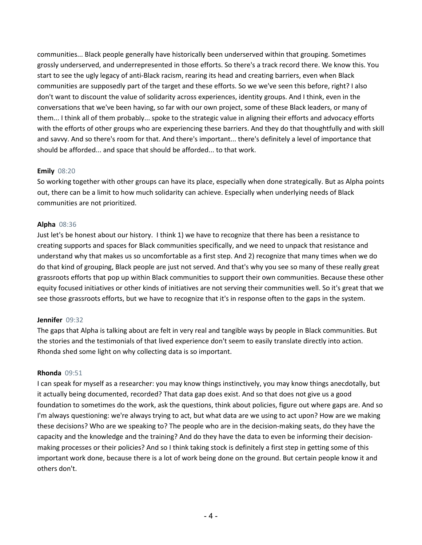communities... Black people generally have historically been underserved within that grouping. Sometimes grossly underserved, and underrepresented in those efforts. So there's a track record there. We know this. You start to see the ugly legacy of anti-Black racism, rearing its head and creating barriers, even when Black communities are supposedly part of the target and these efforts. So we we've seen this before, right? I also don't want to discount the value of solidarity across experiences, identity groups. And I think, even in the conversations that we've been having, so far with our own project, some of these Black leaders, or many of them... I think all of them probably... spoke to the strategic value in aligning their efforts and advocacy efforts with the efforts of other groups who are experiencing these barriers. And they do that thoughtfully and with skill and savvy. And so there's room for that. And there's important... there's definitely a level of importance that should be afforded... and space that should be afforded... to that work.

# **Emily** 08:20

So working together with other groups can have its place, especially when done strategically. But as Alpha points out, there can be a limit to how much solidarity can achieve. Especially when underlying needs of Black communities are not prioritized.

## **Alpha** 08:36

Just let's be honest about our history. I think 1) we have to recognize that there has been a resistance to creating supports and spaces for Black communities specifically, and we need to unpack that resistance and understand why that makes us so uncomfortable as a first step. And 2) recognize that many times when we do do that kind of grouping, Black people are just not served. And that's why you see so many of these really great grassroots efforts that pop up within Black communities to support their own communities. Because these other equity focused initiatives or other kinds of initiatives are not serving their communities well. So it's great that we see those grassroots efforts, but we have to recognize that it's in response often to the gaps in the system.

## **Jennifer** 09:32

The gaps that Alpha is talking about are felt in very real and tangible ways by people in Black communities. But the stories and the testimonials of that lived experience don't seem to easily translate directly into action. Rhonda shed some light on why collecting data is so important.

# **Rhonda** 09:51

I can speak for myself as a researcher: you may know things instinctively, you may know things anecdotally, but it actually being documented, recorded? That data gap does exist. And so that does not give us a good foundation to sometimes do the work, ask the questions, think about policies, figure out where gaps are. And so I'm always questioning: we're always trying to act, but what data are we using to act upon? How are we making these decisions? Who are we speaking to? The people who are in the decision-making seats, do they have the capacity and the knowledge and the training? And do they have the data to even be informing their decisionmaking processes or their policies? And so I think taking stock is definitely a first step in getting some of this important work done, because there is a lot of work being done on the ground. But certain people know it and others don't.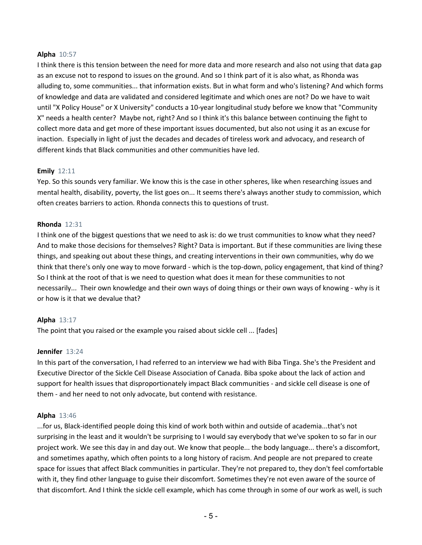#### **Alpha** 10:57

I think there is this tension between the need for more data and more research and also not using that data gap as an excuse not to respond to issues on the ground. And so I think part of it is also what, as Rhonda was alluding to, some communities... that information exists. But in what form and who's listening? And which forms of knowledge and data are validated and considered legitimate and which ones are not? Do we have to wait until "X Policy House" or X University" conducts a 10-year longitudinal study before we know that "Community X" needs a health center? Maybe not, right? And so I think it's this balance between continuing the fight to collect more data and get more of these important issues documented, but also not using it as an excuse for inaction. Especially in light of just the decades and decades of tireless work and advocacy, and research of different kinds that Black communities and other communities have led.

#### **Emily** 12:11

Yep. So this sounds very familiar. We know this is the case in other spheres, like when researching issues and mental health, disability, poverty, the list goes on... It seems there's always another study to commission, which often creates barriers to action. Rhonda connects this to questions of trust.

#### **Rhonda** 12:31

I think one of the biggest questions that we need to ask is: do we trust communities to know what they need? And to make those decisions for themselves? Right? Data is important. But if these communities are living these things, and speaking out about these things, and creating interventions in their own communities, why do we think that there's only one way to move forward - which is the top-down, policy engagement, that kind of thing? So I think at the root of that is we need to question what does it mean for these communities to not necessarily... Their own knowledge and their own ways of doing things or their own ways of knowing - why is it or how is it that we devalue that?

## **Alpha** 13:17

The point that you raised or the example you raised about sickle cell ... [fades]

# **Jennifer** 13:24

In this part of the conversation, I had referred to an interview we had with Biba Tinga. She's the President and Executive Director of the Sickle Cell Disease Association of Canada. Biba spoke about the lack of action and support for health issues that disproportionately impact Black communities - and sickle cell disease is one of them - and her need to not only advocate, but contend with resistance.

#### **Alpha** 13:46

...for us, Black-identified people doing this kind of work both within and outside of academia...that's not surprising in the least and it wouldn't be surprising to I would say everybody that we've spoken to so far in our project work. We see this day in and day out. We know that people... the body language... there's a discomfort, and sometimes apathy, which often points to a long history of racism. And people are not prepared to create space for issues that affect Black communities in particular. They're not prepared to, they don't feel comfortable with it, they find other language to guise their discomfort. Sometimes they're not even aware of the source of that discomfort. And I think the sickle cell example, which has come through in some of our work as well, is such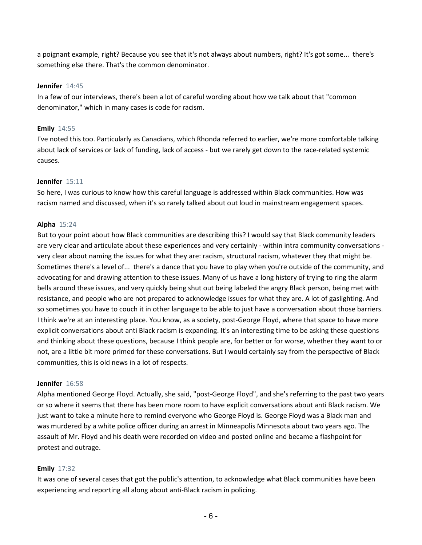a poignant example, right? Because you see that it's not always about numbers, right? It's got some... there's something else there. That's the common denominator.

## **Jennifer** 14:45

In a few of our interviews, there's been a lot of careful wording about how we talk about that "common denominator," which in many cases is code for racism.

# **Emily** 14:55

I've noted this too. Particularly as Canadians, which Rhonda referred to earlier, we're more comfortable talking about lack of services or lack of funding, lack of access - but we rarely get down to the race-related systemic causes.

# **Jennifer** 15:11

So here, I was curious to know how this careful language is addressed within Black communities. How was racism named and discussed, when it's so rarely talked about out loud in mainstream engagement spaces.

# **Alpha** 15:24

But to your point about how Black communities are describing this? I would say that Black community leaders are very clear and articulate about these experiences and very certainly - within intra community conversations very clear about naming the issues for what they are: racism, structural racism, whatever they that might be. Sometimes there's a level of... there's a dance that you have to play when you're outside of the community, and advocating for and drawing attention to these issues. Many of us have a long history of trying to ring the alarm bells around these issues, and very quickly being shut out being labeled the angry Black person, being met with resistance, and people who are not prepared to acknowledge issues for what they are. A lot of gaslighting. And so sometimes you have to couch it in other language to be able to just have a conversation about those barriers. I think we're at an interesting place. You know, as a society, post-George Floyd, where that space to have more explicit conversations about anti Black racism is expanding. It's an interesting time to be asking these questions and thinking about these questions, because I think people are, for better or for worse, whether they want to or not, are a little bit more primed for these conversations. But I would certainly say from the perspective of Black communities, this is old news in a lot of respects.

## **Jennifer** 16:58

Alpha mentioned George Floyd. Actually, she said, "post-George Floyd", and she's referring to the past two years or so where it seems that there has been more room to have explicit conversations about anti Black racism. We just want to take a minute here to remind everyone who George Floyd is. George Floyd was a Black man and was murdered by a white police officer during an arrest in Minneapolis Minnesota about two years ago. The assault of Mr. Floyd and his death were recorded on video and posted online and became a flashpoint for protest and outrage.

# **Emily** 17:32

It was one of several cases that got the public's attention, to acknowledge what Black communities have been experiencing and reporting all along about anti-Black racism in policing.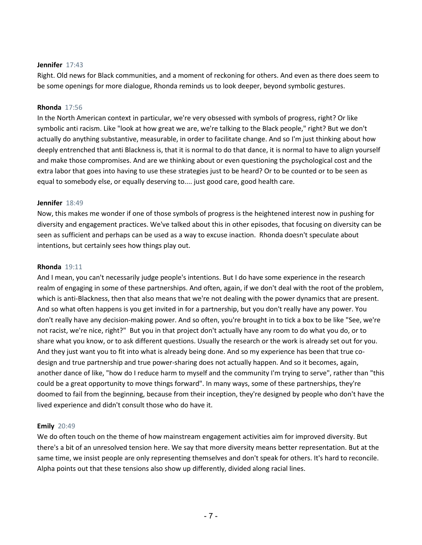#### **Jennifer** 17:43

Right. Old news for Black communities, and a moment of reckoning for others. And even as there does seem to be some openings for more dialogue, Rhonda reminds us to look deeper, beyond symbolic gestures.

#### **Rhonda** 17:56

In the North American context in particular, we're very obsessed with symbols of progress, right? Or like symbolic anti racism. Like "look at how great we are, we're talking to the Black people," right? But we don't actually do anything substantive, measurable, in order to facilitate change. And so I'm just thinking about how deeply entrenched that anti Blackness is, that it is normal to do that dance, it is normal to have to align yourself and make those compromises. And are we thinking about or even questioning the psychological cost and the extra labor that goes into having to use these strategies just to be heard? Or to be counted or to be seen as equal to somebody else, or equally deserving to.... just good care, good health care.

#### **Jennifer** 18:49

Now, this makes me wonder if one of those symbols of progress is the heightened interest now in pushing for diversity and engagement practices. We've talked about this in other episodes, that focusing on diversity can be seen as sufficient and perhaps can be used as a way to excuse inaction. Rhonda doesn't speculate about intentions, but certainly sees how things play out.

#### **Rhonda** 19:11

And I mean, you can't necessarily judge people's intentions. But I do have some experience in the research realm of engaging in some of these partnerships. And often, again, if we don't deal with the root of the problem, which is anti-Blackness, then that also means that we're not dealing with the power dynamics that are present. And so what often happens is you get invited in for a partnership, but you don't really have any power. You don't really have any decision-making power. And so often, you're brought in to tick a box to be like "See, we're not racist, we're nice, right?" But you in that project don't actually have any room to do what you do, or to share what you know, or to ask different questions. Usually the research or the work is already set out for you. And they just want you to fit into what is already being done. And so my experience has been that true codesign and true partnership and true power-sharing does not actually happen. And so it becomes, again, another dance of like, "how do I reduce harm to myself and the community I'm trying to serve", rather than "this could be a great opportunity to move things forward". In many ways, some of these partnerships, they're doomed to fail from the beginning, because from their inception, they're designed by people who don't have the lived experience and didn't consult those who do have it.

## **Emily** 20:49

We do often touch on the theme of how mainstream engagement activities aim for improved diversity. But there's a bit of an unresolved tension here. We say that more diversity means better representation. But at the same time, we insist people are only representing themselves and don't speak for others. It's hard to reconcile. Alpha points out that these tensions also show up differently, divided along racial lines.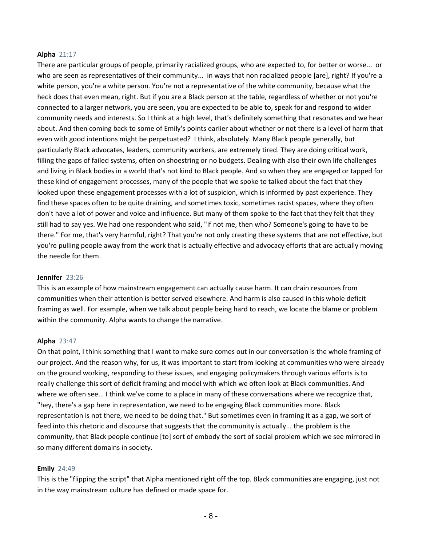#### **Alpha** 21:17

There are particular groups of people, primarily racialized groups, who are expected to, for better or worse... or who are seen as representatives of their community... in ways that non racialized people [are], right? If you're a white person, you're a white person. You're not a representative of the white community, because what the heck does that even mean, right. But if you are a Black person at the table, regardless of whether or not you're connected to a larger network, you are seen, you are expected to be able to, speak for and respond to wider community needs and interests. So I think at a high level, that's definitely something that resonates and we hear about. And then coming back to some of Emily's points earlier about whether or not there is a level of harm that even with good intentions might be perpetuated? I think, absolutely. Many Black people generally, but particularly Black advocates, leaders, community workers, are extremely tired. They are doing critical work, filling the gaps of failed systems, often on shoestring or no budgets. Dealing with also their own life challenges and living in Black bodies in a world that's not kind to Black people. And so when they are engaged or tapped for these kind of engagement processes, many of the people that we spoke to talked about the fact that they looked upon these engagement processes with a lot of suspicion, which is informed by past experience. They find these spaces often to be quite draining, and sometimes toxic, sometimes racist spaces, where they often don't have a lot of power and voice and influence. But many of them spoke to the fact that they felt that they still had to say yes. We had one respondent who said, "If not me, then who? Someone's going to have to be there." For me, that's very harmful, right? That you're not only creating these systems that are not effective, but you're pulling people away from the work that is actually effective and advocacy efforts that are actually moving the needle for them.

#### **Jennifer** 23:26

This is an example of how mainstream engagement can actually cause harm. It can drain resources from communities when their attention is better served elsewhere. And harm is also caused in this whole deficit framing as well. For example, when we talk about people being hard to reach, we locate the blame or problem within the community. Alpha wants to change the narrative.

## **Alpha** 23:47

On that point, I think something that I want to make sure comes out in our conversation is the whole framing of our project. And the reason why, for us, it was important to start from looking at communities who were already on the ground working, responding to these issues, and engaging policymakers through various efforts is to really challenge this sort of deficit framing and model with which we often look at Black communities. And where we often see... I think we've come to a place in many of these conversations where we recognize that, "hey, there's a gap here in representation, we need to be engaging Black communities more. Black representation is not there, we need to be doing that." But sometimes even in framing it as a gap, we sort of feed into this rhetoric and discourse that suggests that the community is actually... the problem is the community, that Black people continue [to] sort of embody the sort of social problem which we see mirrored in so many different domains in society.

## **Emily** 24:49

This is the "flipping the script" that Alpha mentioned right off the top. Black communities are engaging, just not in the way mainstream culture has defined or made space for.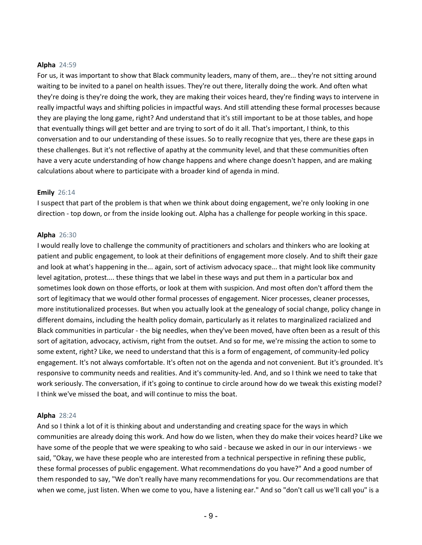#### **Alpha** 24:59

For us, it was important to show that Black community leaders, many of them, are... they're not sitting around waiting to be invited to a panel on health issues. They're out there, literally doing the work. And often what they're doing is they're doing the work, they are making their voices heard, they're finding ways to intervene in really impactful ways and shifting policies in impactful ways. And still attending these formal processes because they are playing the long game, right? And understand that it's still important to be at those tables, and hope that eventually things will get better and are trying to sort of do it all. That's important, I think, to this conversation and to our understanding of these issues. So to really recognize that yes, there are these gaps in these challenges. But it's not reflective of apathy at the community level, and that these communities often have a very acute understanding of how change happens and where change doesn't happen, and are making calculations about where to participate with a broader kind of agenda in mind.

#### **Emily** 26:14

I suspect that part of the problem is that when we think about doing engagement, we're only looking in one direction - top down, or from the inside looking out. Alpha has a challenge for people working in this space.

#### **Alpha** 26:30

I would really love to challenge the community of practitioners and scholars and thinkers who are looking at patient and public engagement, to look at their definitions of engagement more closely. And to shift their gaze and look at what's happening in the... again, sort of activism advocacy space... that might look like community level agitation, protest.... these things that we label in these ways and put them in a particular box and sometimes look down on those efforts, or look at them with suspicion. And most often don't afford them the sort of legitimacy that we would other formal processes of engagement. Nicer processes, cleaner processes, more institutionalized processes. But when you actually look at the genealogy of social change, policy change in different domains, including the health policy domain, particularly as it relates to marginalized racialized and Black communities in particular - the big needles, when they've been moved, have often been as a result of this sort of agitation, advocacy, activism, right from the outset. And so for me, we're missing the action to some to some extent, right? Like, we need to understand that this is a form of engagement, of community-led policy engagement. It's not always comfortable. It's often not on the agenda and not convenient. But it's grounded. It's responsive to community needs and realities. And it's community-led. And, and so I think we need to take that work seriously. The conversation, if it's going to continue to circle around how do we tweak this existing model? I think we've missed the boat, and will continue to miss the boat.

#### **Alpha** 28:24

And so I think a lot of it is thinking about and understanding and creating space for the ways in which communities are already doing this work. And how do we listen, when they do make their voices heard? Like we have some of the people that we were speaking to who said - because we asked in our in our interviews - we said, "Okay, we have these people who are interested from a technical perspective in refining these public, these formal processes of public engagement. What recommendations do you have?" And a good number of them responded to say, "We don't really have many recommendations for you. Our recommendations are that when we come, just listen. When we come to you, have a listening ear." And so "don't call us we'll call you" is a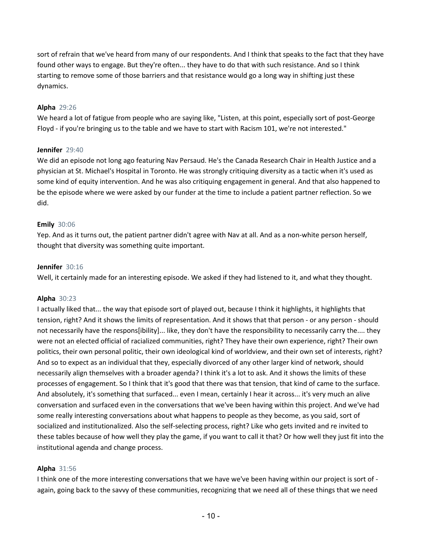sort of refrain that we've heard from many of our respondents. And I think that speaks to the fact that they have found other ways to engage. But they're often... they have to do that with such resistance. And so I think starting to remove some of those barriers and that resistance would go a long way in shifting just these dynamics.

## **Alpha** 29:26

We heard a lot of fatigue from people who are saying like, "Listen, at this point, especially sort of post-George Floyd - if you're bringing us to the table and we have to start with Racism 101, we're not interested."

## **Jennifer** 29:40

We did an episode not long ago featuring Nav Persaud. He's the Canada Research Chair in Health Justice and a physician at St. Michael's Hospital in Toronto. He was strongly critiquing diversity as a tactic when it's used as some kind of equity intervention. And he was also critiquing engagement in general. And that also happened to be the episode where we were asked by our funder at the time to include a patient partner reflection. So we did.

# **Emily** 30:06

Yep. And as it turns out, the patient partner didn't agree with Nav at all. And as a non-white person herself, thought that diversity was something quite important.

## **Jennifer** 30:16

Well, it certainly made for an interesting episode. We asked if they had listened to it, and what they thought.

# **Alpha** 30:23

I actually liked that... the way that episode sort of played out, because I think it highlights, it highlights that tension, right? And it shows the limits of representation. And it shows that that person - or any person - should not necessarily have the respons[ibility]... like, they don't have the responsibility to necessarily carry the.... they were not an elected official of racialized communities, right? They have their own experience, right? Their own politics, their own personal politic, their own ideological kind of worldview, and their own set of interests, right? And so to expect as an individual that they, especially divorced of any other larger kind of network, should necessarily align themselves with a broader agenda? I think it's a lot to ask. And it shows the limits of these processes of engagement. So I think that it's good that there was that tension, that kind of came to the surface. And absolutely, it's something that surfaced... even I mean, certainly I hear it across... it's very much an alive conversation and surfaced even in the conversations that we've been having within this project. And we've had some really interesting conversations about what happens to people as they become, as you said, sort of socialized and institutionalized. Also the self-selecting process, right? Like who gets invited and re invited to these tables because of how well they play the game, if you want to call it that? Or how well they just fit into the institutional agenda and change process.

## **Alpha** 31:56

I think one of the more interesting conversations that we have we've been having within our project is sort of again, going back to the savvy of these communities, recognizing that we need all of these things that we need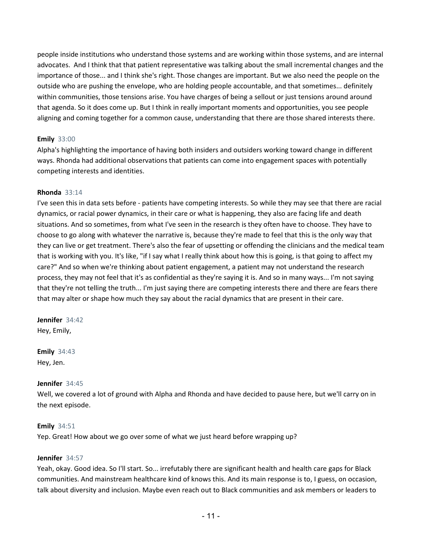people inside institutions who understand those systems and are working within those systems, and are internal advocates. And I think that that patient representative was talking about the small incremental changes and the importance of those... and I think she's right. Those changes are important. But we also need the people on the outside who are pushing the envelope, who are holding people accountable, and that sometimes... definitely within communities, those tensions arise. You have charges of being a sellout or just tensions around around that agenda. So it does come up. But I think in really important moments and opportunities, you see people aligning and coming together for a common cause, understanding that there are those shared interests there.

# **Emily** 33:00

Alpha's highlighting the importance of having both insiders and outsiders working toward change in different ways. Rhonda had additional observations that patients can come into engagement spaces with potentially competing interests and identities.

# **Rhonda** 33:14

I've seen this in data sets before - patients have competing interests. So while they may see that there are racial dynamics, or racial power dynamics, in their care or what is happening, they also are facing life and death situations. And so sometimes, from what I've seen in the research is they often have to choose. They have to choose to go along with whatever the narrative is, because they're made to feel that this is the only way that they can live or get treatment. There's also the fear of upsetting or offending the clinicians and the medical team that is working with you. It's like, "if I say what I really think about how this is going, is that going to affect my care?" And so when we're thinking about patient engagement, a patient may not understand the research process, they may not feel that it's as confidential as they're saying it is. And so in many ways... I'm not saying that they're not telling the truth... I'm just saying there are competing interests there and there are fears there that may alter or shape how much they say about the racial dynamics that are present in their care.

**Jennifer** 34:42 Hey, Emily,

**Emily** 34:43 Hey, Jen.

## **Jennifer** 34:45

Well, we covered a lot of ground with Alpha and Rhonda and have decided to pause here, but we'll carry on in the next episode.

## **Emily** 34:51

Yep. Great! How about we go over some of what we just heard before wrapping up?

## **Jennifer** 34:57

Yeah, okay. Good idea. So I'll start. So... irrefutably there are significant health and health care gaps for Black communities. And mainstream healthcare kind of knows this. And its main response is to, I guess, on occasion, talk about diversity and inclusion. Maybe even reach out to Black communities and ask members or leaders to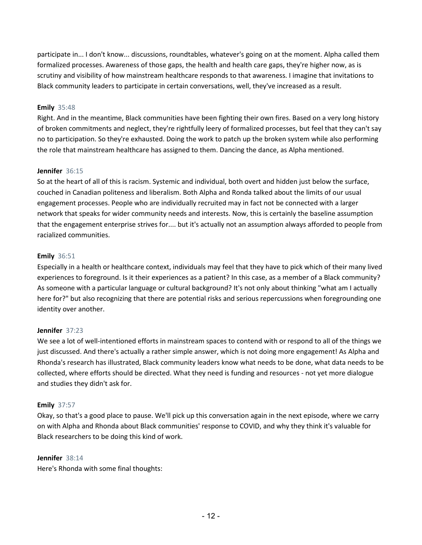participate in... I don't know... discussions, roundtables, whatever's going on at the moment. Alpha called them formalized processes. Awareness of those gaps, the health and health care gaps, they're higher now, as is scrutiny and visibility of how mainstream healthcare responds to that awareness. I imagine that invitations to Black community leaders to participate in certain conversations, well, they've increased as a result.

# **Emily** 35:48

Right. And in the meantime, Black communities have been fighting their own fires. Based on a very long history of broken commitments and neglect, they're rightfully leery of formalized processes, but feel that they can't say no to participation. So they're exhausted. Doing the work to patch up the broken system while also performing the role that mainstream healthcare has assigned to them. Dancing the dance, as Alpha mentioned.

## **Jennifer** 36:15

So at the heart of all of this is racism. Systemic and individual, both overt and hidden just below the surface, couched in Canadian politeness and liberalism. Both Alpha and Ronda talked about the limits of our usual engagement processes. People who are individually recruited may in fact not be connected with a larger network that speaks for wider community needs and interests. Now, this is certainly the baseline assumption that the engagement enterprise strives for.... but it's actually not an assumption always afforded to people from racialized communities.

# **Emily** 36:51

Especially in a health or healthcare context, individuals may feel that they have to pick which of their many lived experiences to foreground. Is it their experiences as a patient? In this case, as a member of a Black community? As someone with a particular language or cultural background? It's not only about thinking "what am I actually here for?" but also recognizing that there are potential risks and serious repercussions when foregrounding one identity over another.

# **Jennifer** 37:23

We see a lot of well-intentioned efforts in mainstream spaces to contend with or respond to all of the things we just discussed. And there's actually a rather simple answer, which is not doing more engagement! As Alpha and Rhonda's research has illustrated, Black community leaders know what needs to be done, what data needs to be collected, where efforts should be directed. What they need is funding and resources - not yet more dialogue and studies they didn't ask for.

# **Emily** 37:57

Okay, so that's a good place to pause. We'll pick up this conversation again in the next episode, where we carry on with Alpha and Rhonda about Black communities' response to COVID, and why they think it's valuable for Black researchers to be doing this kind of work.

## **Jennifer** 38:14

Here's Rhonda with some final thoughts: